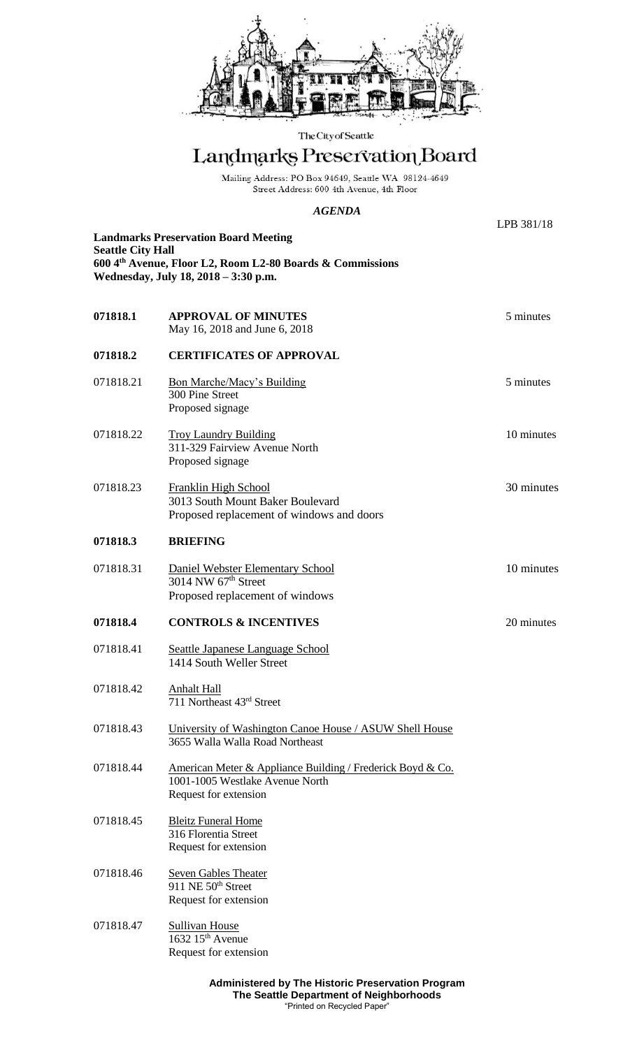

The City of Seattle

## Landmarks Preservation Board

Mailing Address: PO Box 94649, Seattle WA 98124-4649 Street Address: 600 4th Avenue, 4th Floor

## *AGENDA*

LPB 381/18 **Landmarks Preservation Board Meeting Seattle City Hall 600 4th Avenue, Floor L2, Room L2-80 Boards & Commissions Wednesday, July 18, 2018 – 3:30 p.m. 071818.1 APPROVAL OF MINUTES** 5 minutes May 16, 2018 and June 6, 2018 **071818.2 CERTIFICATES OF APPROVAL** 071818.21 Bon Marche/Macy's Building 5 minutes 300 Pine Street Proposed signage 071818.22 Troy Laundry Building 10 minutes 311-329 Fairview Avenue North Proposed signage 071818.23 Franklin High School 30 minutes 3013 South Mount Baker Boulevard Proposed replacement of windows and doors **071818.3 BRIEFING** 071818.31 Daniel Webster Elementary School 10 minutes 3014 NW 67<sup>th</sup> Street Proposed replacement of windows **071818.4 CONTROLS & INCENTIVES** 20 minutes 071818.41 Seattle Japanese Language School 1414 South Weller Street 071818.42 Anhalt Hall 711 Northeast 43rd Street 071818.43 University of Washington Canoe House / ASUW Shell House 3655 Walla Walla Road Northeast 071818.44 American Meter & Appliance Building / Frederick Boyd & Co. 1001-1005 Westlake Avenue North Request for extension 071818.45 Bleitz Funeral Home 316 Florentia Street Request for extension 071818.46 Seven Gables Theater 911 NE 50<sup>th</sup> Street Request for extension 071818.47 Sullivan House 1632 15th Avenue Request for extension